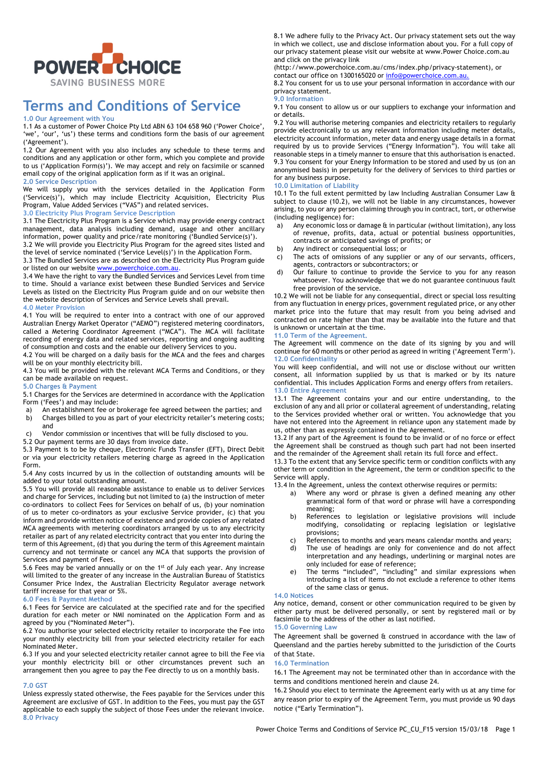

# **Terms and Conditions of Service**

### **1.0 Our Agreement with You**

1.1 As a customer of Power Choice Pty Ltd ABN 63 104 658 960 ('Power Choice', 'we', 'our', 'us') these terms and conditions form the basis of our agreement ('Agreement').

1.2 Our Agreement with you also includes any schedule to these terms and conditions and any application or other form, which you complete and provide to us ('Application Form(s)'). We may accept and rely on facsimile or scanned email copy of the original application form as if it was an original.

**2.0 Service Description**

We will supply you with the services detailed in the Application Form ('Service(s)'), which may include Electricity Acquisition, Electricity Plus Program, Value Added Services ("VAS") and related services.

## **3.0 Electricity Plus Program Service Description**

3.1 The Electricity Plus Program is a Service which may provide energy contract management, data analysis including demand, usage and other ancillary information, power quality and price/rate monitoring ('Bundled Service(s)').

3.2 We will provide you Electricity Plus Program for the agreed sites listed and the level of service nominated ('Service Level(s)') in the Application Form.

3.3 The Bundled Services are as described on the Electricity Plus Program guide or listed on our website www.powerchoice.com.au

3.4 We have the right to vary the Bundled Services and Services Level from time to time. Should a variance exist between these Bundled Services and Service Levels as listed on the Electricity Plus Program guide and on our website then the website description of Services and Service Levels shall prevail.

#### **4.0 Meter Provision**

4.1 You will be required to enter into a contract with one of our approved Australian Energy Market Operator ("AEMO") registered metering coordinators, called a Metering Coordinator Agreement ("MCA"). The MCA will facilitate recording of energy data and related services, reporting and ongoing auditing of consumption and costs and the enable our delivery Services to you.

4.2 You will be charged on a daily basis for the MCA and the fees and charges will be on your monthly electricity bill.

4.3 You will be provided with the relevant MCA Terms and Conditions, or they can be made available on request.

## **5.0 Charges & Payment**

5.1 Charges for the Services are determined in accordance with the Application Form ('Fees') and may include:

- a) An establishment fee or brokerage fee agreed between the parties; and b) Charges billed to you as part of your electricity retailer's metering costs; and
- c) Vendor commission or incentives that will be fully disclosed to you.

5.2 Our payment terms are 30 days from invoice date.

5.3 Payment is to be by cheque, Electronic Funds Transfer (EFT), Direct Debit or via your electricity retailers metering charge as agreed in the Application Form.

5.4 Any costs incurred by us in the collection of outstanding amounts will be added to your total outstanding amount.

5.5 You will provide all reasonable assistance to enable us to deliver Services and charge for Services, including but not limited to (a) the instruction of meter co-ordinators to collect Fees for Services on behalf of us, (b) your nomination of us to meter co-ordinators as your exclusive Service provider, (c) that you inform and provide written notice of existence and provide copies of any related MCA agreements with metering coordinators arranged by us to any electricity retailer as part of any related electricity contract that you enter into during the term of this Agreement, (d) that you during the term of this Agreement maintain currency and not terminate or cancel any MCA that supports the provision of Services and payment of Fees.

5.6 Fees may be varied annually or on the 1st of July each year. Any increase will limited to the greater of any increase in the Australian Bureau of Statistics Consumer Price Index, the Australian Electricity Regulator average network tariff increase for that year or 5%.

#### **6.0 Fees & Payment Method**

6.1 Fees for Service are calculated at the specified rate and for the specified duration for each meter or NMI nominated on the Application Form and as agreed by you ("Nominated Meter").

6.2 You authorise your selected electricity retailer to incorporate the Fee into your monthly electricity bill from your selected electricity retailer for each Nominated Meter.

6.3 If you and your selected electricity retailer cannot agree to bill the Fee via your monthly electricity bill or other circumstances prevent such an arrangement then you agree to pay the Fee directly to us on a monthly basis.

### **7.0 GST**

Unless expressly stated otherwise, the Fees payable for the Services under this Agreement are exclusive of GST. In addition to the Fees, you must pay the GST applicable to each supply the subject of those Fees under the relevant invoice. **8.0 Privacy**

8.1 We adhere fully to the Privacy Act. Our privacy statement sets out the way in which we collect, use and disclose information about you. For a full copy of our privacy statement please visit our website at www.Power Choice.com.au and click on the privacy link

(http://www.powerchoice.com.au/cms/index.php/privacy-statement), or contact our office on 1300165020 or info@powerchoice.com.au.

8.2 You consent for us to use your personal information in accordance with our privacy statement.

#### **9.0 Information**

9.1 You consent to allow us or our suppliers to exchange your information and or details.

9.2 You will authorise metering companies and electricity retailers to regularly provide electronically to us any relevant information including meter details, electricity account information, meter data and energy usage details in a format required by us to provide Services ("Energy Information"). You will take all reasonable steps in a timely manner to ensure that this authorisation is enacted. 9.3 You consent for your Energy Information to be stored and used by us (on an anonymised basis) in perpetuity for the delivery of Services to third parties or for any business purpose.

# **10.0 Limitation of Liability**

10.1 To the full extent permitted by law Including Australian Consumer Law & subject to clause (10.2), we will not be liable in any circumstances, however arising, to you or any person claiming through you in contract, tort, or otherwise (including negligence) for:

- a) Any economic loss or damage & in particular (without limitation), any loss of revenue, profits, data, actual or potential business opportunities, contracts or anticipated savings of profits; or
- b) Any indirect or consequential loss; or
- c) The acts of omissions of any supplier or any of our servants, officers, agents, contractors or subcontractors; or
- d) Our failure to continue to provide the Service to you for any reason whatsoever. You acknowledge that we do not guarantee continuous fault free provision of the service.

10.2 We will not be liable for any consequential, direct or special loss resulting from any fluctuation in energy prices, government regulated price, or any other market price into the future that may result from you being advised and contracted on rate higher than that may be available into the future and that is unknown or uncertain at the time.

#### **11.0 Term of the Agreement.**

The Agreement will commence on the date of its signing by you and will continue for 60 months or other period as agreed in writing ('Agreement Term'). **12.0 Confidentiality**

You will keep confidential, and will not use or disclose without our written consent, all information supplied by us that is marked or by its nature confidential. This includes Application Forms and energy offers from retailers. **13.0 Entire Agreement**

13.1 The Agreement contains your and our entire understanding, to the exclusion of any and all prior or collateral agreement of understanding, relating to the Services provided whether oral or written. You acknowledge that you have not entered into the Agreement in reliance upon any statement made by us, other than as expressly contained in the Agreement.

13.2 If any part of the Agreement is found to be invalid or of no force or effect the Agreement shall be construed as though such part had not been inserted and the remainder of the Agreement shall retain its full force and effect.

13.3 To the extent that any Service specific term or condition conflicts with any other term or condition in the Agreement, the term or condition specific to the Service will apply.

13.4 In the Agreement, unless the context otherwise requires or permits:

- a) Where any word or phrase is given a defined meaning any other grammatical form of that word or phrase will have a corresponding meaning;
- b) References to legislation or legislative provisions will include modifying, consolidating or replacing legislation or legislative provisions;
- c) References to months and years means calendar months and years;
- d) The use of headings are only for convenience and do not affect interpretation and any headings, underlining or marginal notes are only included for ease of reference;
- e) The terms "included", "including" and similar expressions when introducing a list of items do not exclude a reference to other items of the same class or genus.

#### **14.0 Notices**

Any notice, demand, consent or other communication required to be given by either party must be delivered personally, or sent by registered mail or by facsimile to the address of the other as last notified. **15.0 Governing Law**

#### The Agreement shall be governed & construed in accordance with the law of Queensland and the parties hereby submitted to the jurisdiction of the Courts of that State.

#### **16.0 Termination**

16.1 The Agreement may not be terminated other than in accordance with the terms and conditions mentioned herein and clause 24.

16.2 Should you elect to terminate the Agreement early with us at any time for any reason prior to expiry of the Agreement Term, you must provide us 90 days notice ("Early Termination").